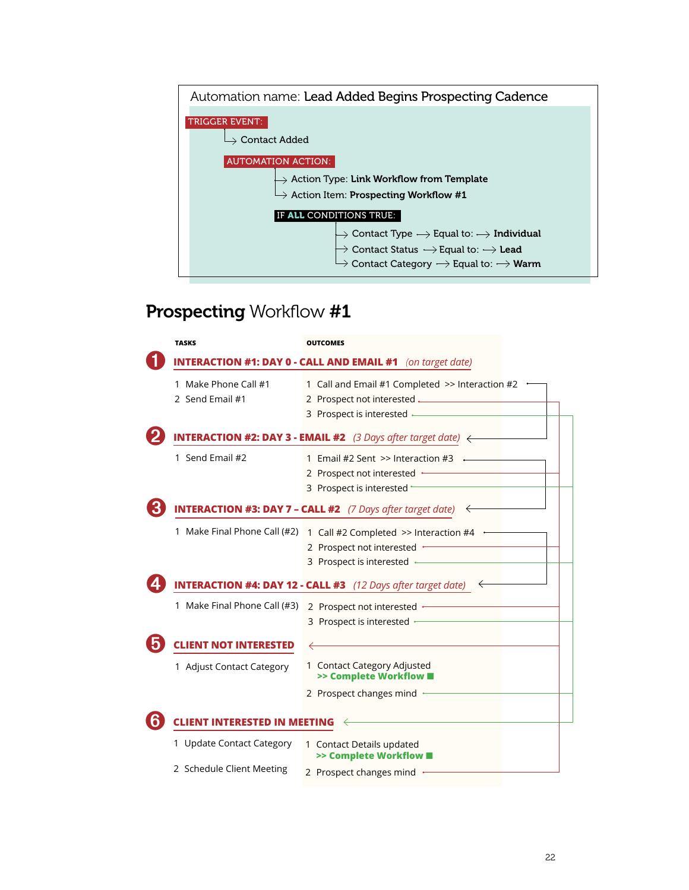| Automation name: Lead Added Begins Prospecting Cadence                      |  |  |
|-----------------------------------------------------------------------------|--|--|
| <b>TRIGGER EVENT:</b><br>$\rightarrow$ Contact Added                        |  |  |
| <b>AUTOMATION ACTION:</b>                                                   |  |  |
| $\rightarrow$ Action Type: Link Workflow from Template                      |  |  |
| $\rightarrow$ Action Item: Prospecting Workflow #1                          |  |  |
| IF ALL CONDITIONS TRUE:                                                     |  |  |
| $\rightarrow$ Contact Type $\rightarrow$ Equal to: $\rightarrow$ Individual |  |  |
| $\rightarrow$ Contact Status $\rightarrow$ Equal to: $\rightarrow$ Lead     |  |  |
| $\rightarrow$ Contact Category $\rightarrow$ Equal to: $\rightarrow$ Warm   |  |  |

## Prospecting Workflow #1

| <b>TASKS</b>                                                                    | <b>OUTCOMES</b>                                                                                                                                                                                                                                                                                                    |  |
|---------------------------------------------------------------------------------|--------------------------------------------------------------------------------------------------------------------------------------------------------------------------------------------------------------------------------------------------------------------------------------------------------------------|--|
| <b>INTERACTION #1: DAY 0 - CALL AND EMAIL #1</b> (on target date)               |                                                                                                                                                                                                                                                                                                                    |  |
| 1 Make Phone Call #1<br>2 Send Email #1                                         | 1 Call and Email #1 Completed >> Interaction #2 -<br>2 Prospect not interested.                                                                                                                                                                                                                                    |  |
| <b>INTERACTION #2: DAY 3 - EMAIL #2</b> (3 Days after target date) $\leftarrow$ |                                                                                                                                                                                                                                                                                                                    |  |
| 1 Send Email #2                                                                 | 1 Email #2 Sent $\gg$ Interaction #3 $\rightarrow$<br>2 Prospect not interested • The Contract of the Contract of the Contract of the Contract of the Contract of the Contract of the Contract of the Contract of the Contract of the Contract of the Contract of the Contract of th<br>3 Prospect is interested * |  |
|                                                                                 | <b>INTERACTION #3: DAY 7 - CALL #2</b> (7 Days after target date)<br>$\leftarrow$                                                                                                                                                                                                                                  |  |
| 1 Make Final Phone Call (#2)                                                    | 1 Call #2 Completed >> Interaction #4 $\sim$<br>2 Prospect not interested •                                                                                                                                                                                                                                        |  |
|                                                                                 | <b>INTERACTION #4: DAY 12 - CALL #3</b> (12 Days after target date) $\leftarrow$                                                                                                                                                                                                                                   |  |
| 1 Make Final Phone Call (#3)                                                    |                                                                                                                                                                                                                                                                                                                    |  |
| <b>CLIENT NOT INTERESTED</b>                                                    |                                                                                                                                                                                                                                                                                                                    |  |
| 1 Adjust Contact Category                                                       | 1 Contact Category Adjusted<br>>> Complete Workflow $\blacksquare$                                                                                                                                                                                                                                                 |  |
|                                                                                 | 2 Prospect changes mind $\sim$                                                                                                                                                                                                                                                                                     |  |
| <b>CLIENT INTERESTED IN MEETING</b>                                             |                                                                                                                                                                                                                                                                                                                    |  |
| 1 Update Contact Category                                                       | 1 Contact Details updated<br>>> Complete Workflow                                                                                                                                                                                                                                                                  |  |
| 2 Schedule Client Meeting                                                       | 2 Prospect changes mind $\cdot$                                                                                                                                                                                                                                                                                    |  |